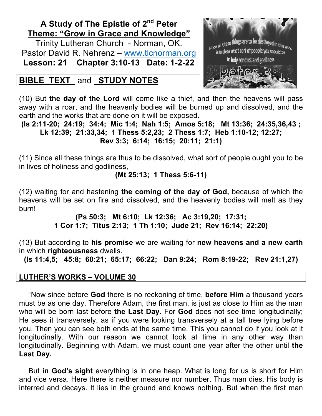## **A Study of The Epistle of 2nd Peter Theme: "Grow in Grace and Knowledge"**

Trinity Lutheran Church - Norman, OK. Pastor David R. Nehrenz - www.tlcnorman.org **Lesson: 21 Chapter 3:10-13 Date: 1-2-22**

## **BIBLE TEXT** and **STUDY NOTES**



(10) But **the day of the Lord** will come like a thief, and then the heavens will pass away with a roar, and the heavenly bodies will be burned up and dissolved, and the earth and the works that are done on it will be exposed.

**(Is 2:11-20; 24:19; 34:4; Mic 1:4; Nah 1:5; Amos 5:18; Mt 13:36; 24:35,36,43 ; Lk 12:39; 21:33,34; 1 Thess 5:2,23; 2 Thess 1:7; Heb 1:10-12; 12:27; Rev 3:3; 6:14; 16:15; 20:11; 21:1)**

(11) Since all these things are thus to be dissolved, what sort of people ought you to be in lives of holiness and godliness,

**(Mt 25:13; 1 Thess 5:6-11)**

(12) waiting for and hastening **the coming of the day of God,** because of which the heavens will be set on fire and dissolved, and the heavenly bodies will melt as they burn!

> **(Ps 50:3; Mt 6:10; Lk 12:36; Ac 3:19,20; 17:31; 1 Cor 1:7; Titus 2:13; 1 Th 1:10; Jude 21; Rev 16:14; 22:20)**

(13) But according to **his promise** we are waiting for **new heavens and a new earth** in which **righteousness** dwells.

**(Is 11:4,5; 45:8; 60:21; 65:17; 66:22; Dan 9:24; Rom 8:19-22; Rev 21:1,27)**

## **LUTHER'S WORKS – VOLUME 30**

"Now since before **God** there is no reckoning of time, **before Him** a thousand years must be as one day. Therefore Adam, the first man, is just as close to Him as the man who will be born last before **the Last Day**. For **God** does not see time longitudinally; He sees it transversely, as if you were looking transversely at a tall tree lying before you. Then you can see both ends at the same time. This you cannot do if you look at it longitudinally. With our reason we cannot look at time in any other way than longitudinally. Beginning with Adam, we must count one year after the other until **the Last Day.**

But **in God's sight** everything is in one heap. What is long for us is short for Him and vice versa. Here there is neither measure nor number. Thus man dies. His body is interred and decays. It lies in the ground and knows nothing. But when the first man